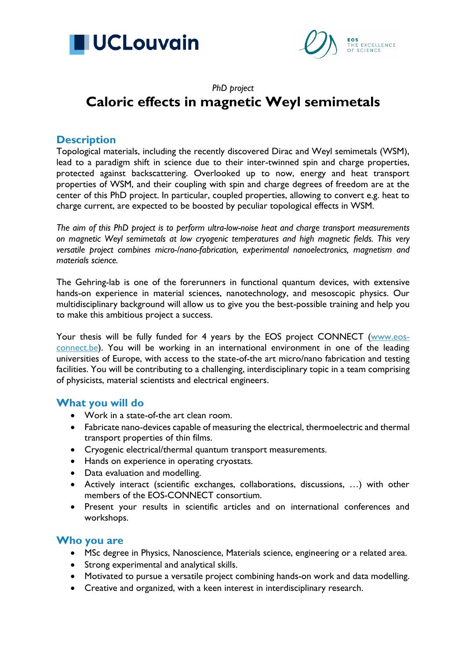



# *PhD project* **Caloric effects in magnetic Weyl semimetals**

# **Description**

Topological materials, including the recently discovered Dirac and Weyl semimetals (WSM), lead to a paradigm shift in science due to their inter-twinned spin and charge properties, protected against backscattering. Overlooked up to now, energy and heat transport properties of WSM, and their coupling with spin and charge degrees of freedom are at the center of this PhD project. In particular, coupled properties, allowing to convert e.g. heat to charge current, are expected to be boosted by peculiar topological effects in WSM.

*The aim of this PhD project is to perform ultra-low-noise heat and charge transport measurements on magnetic Weyl semimetals at low cryogenic temperatures and high magnetic fields. This very versatile project combines micro-/nano-fabrication, experimental nanoelectronics, magnetism and materials science.*

The Gehring-lab is one of the forerunners in functional quantum devices, with extensive hands-on experience in material sciences, nanotechnology, and mesoscopic physics. Our multidisciplinary background will allow us to give you the best-possible training and help you to make this ambitious project a success.

Your thesis will be fully funded for 4 years by the EOS project CONNECT [\(www.eos](http://www.eos-connect.be/)[connect.be\)](http://www.eos-connect.be/). You will be working in an international environment in one of the leading universities of Europe, with access to the state-of-the art micro/nano fabrication and testing facilities. You will be contributing to a challenging, interdisciplinary topic in a team comprising of physicists, material scientists and electrical engineers.

# **What you will do**

- Work in a state-of-the art clean room.
- Fabricate nano-devices capable of measuring the electrical, thermoelectric and thermal transport properties of thin films.
- Cryogenic electrical/thermal quantum transport measurements.
- Hands on experience in operating cryostats.
- Data evaluation and modelling.
- Actively interact (scientific exchanges, collaborations, discussions, …) with other members of the EOS-CONNECT consortium.
- Present your results in scientific articles and on international conferences and workshops.

# **Who you are**

- MSc degree in Physics, Nanoscience, Materials science, engineering or a related area.
- Strong experimental and analytical skills.
- Motivated to pursue a versatile project combining hands-on work and data modelling.
- Creative and organized, with a keen interest in interdisciplinary research.